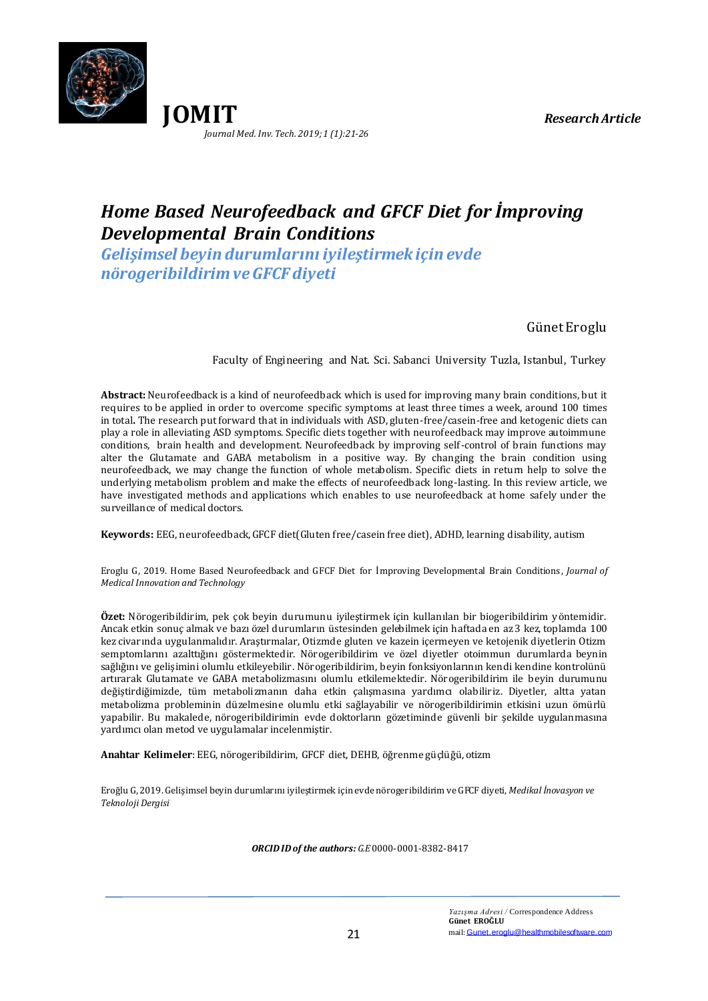



# *Home Based Neurofeedback and GFCF Diet for İmproving Developmental Brain Conditions*

*Gelişimsel beyin durumlarını iyileştirmek için evde nörogeribildirim ve GFCF diyeti*

Günet Eroglu

Faculty of Engineering and Nat. Sci. Sabanci University Tuzla, Istanbul, Turkey

**Abstract:** Neurofeedback is a kind of neurofeedback which is used for improving many brain conditions, but it requires to be applied in order to overcome specific symptoms at least three times a week, around 100 times in total**.** The research put forward that in individuals with ASD, gluten-free/casein-free and ketogenic diets can play a role in alleviating ASD symptoms. Specific diets together with neurofeedback may improve autoimmune conditions, brain health and development. Neurofeedback by improving self-control of brain functions may alter the Glutamate and GABA metabolism in a positive way. By changing the brain condition using neurofeedback, we may change the function of whole metabolism. Specific diets in return help to solve the underlying metabolism problem and make the effects of neurofeedback long-lasting. In this review article, we have investigated methods and applications which enables to use neurofeedback at home safely under the surveillance of medical doctors.

**Keywords:** EEG, neurofeedback,GFCF diet(Gluten free/casein free diet), ADHD, learning disability, autism

Eroglu G, 2019. Home Based Neurofeedback and GFCF Diet for İmproving Developmental Brain Conditions , *Journal of Medical Innovation and Technology*

**Özet:** Nörogeribildirim, pek çok beyin durumunu iyileştirmek için kullanılan bir biogeribildirim yöntemidir. Ancak etkin sonuç almak ve bazı özel durumların üstesinden gelebilmek için haftada en az3 kez, toplamda 100 kez civarında uygulanmalıdır. Araştırmalar, Otizmde gluten ve kazein içermeyen ve ketojenik diyetlerin Otizm semptomlarını azalttığını göstermektedir. Nörogeribildirim ve özel diyetler otoimmun durumlarda beynin sağlığını ve gelişimini olumlu etkileyebilir. Nörogeribildirim, beyin fonksiyonlarının kendi kendine kontrolünü artırarak Glutamate ve GABA metabolizmasını olumlu etkilemektedir. Nörogeribildirim ile beyin durumunu değiştirdiğimizde, tüm metabolizmanın daha etkin çalışmasına yardımcı olabiliriz. Diyetler, altta yatan metabolizma probleminin düzelmesine olumlu etki sağlayabilir ve nörogeribildirimin etkisini uzun ömürlü yapabilir. Bu makalede, nörogeribildirimin evde doktorların gözetiminde güvenli bir şekilde uygulanmasına yardımcı olan metod ve uygulamalar incelenmiştir.

**Anahtar Kelimeler**: EEG, nörogeribildirim, GFCF diet, DEHB, öğrenme güçlüğü, otizm

Eroğlu G, 2019. Gelişimsel beyin durumlarını iyileştirmek için evde nörogeribildirim ve GFCF diyeti, *Medikal İnovasyon ve Teknoloji Dergisi*

*ORCID ID of the authors: G.E* 0000-0001-8382-8417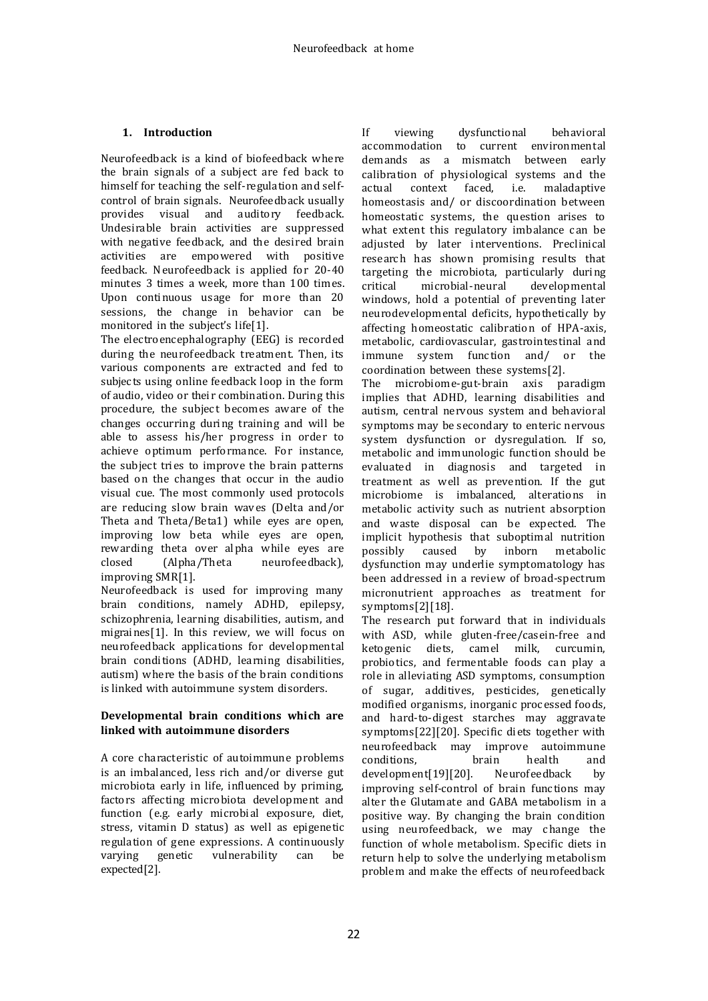# **1. Introduction**

Neurofeedback is a kind of biofeedback where the brain signals of a subject are fed back to himself for teaching the self-regulation and selfcontrol of brain signals. Neurofeedback usually provides visual and auditory feedback. Undesirable brain activities are suppressed with negative feedback, and the desired brain activities are empowered with positive feedback. Neurofeedback is applied for 20-40 minutes 3 times a week, more than 100 times. Upon continuous usage for more than 20 sessions, the change in behavior can be monitored in the subject's life[1].

The electroencephalography (EEG) is recorded during the neurofeedback treatment. Then, its various components are extracted and fed to subjects using online feedback loop in the form of audio, video or their combination. During this procedure, the subject becomes aware of the changes occurring during training and will be able to assess his/her progress in order to achieve optimum performance. For instance, the subject tries to improve the brain patterns based on the changes that occur in the audio visual cue. The most commonly used protocols are reducing slow brain waves (Delta and/or Theta and Theta/Beta1) while eyes are open, improving low beta while eyes are open, rewarding theta over al pha while eyes are closed (Alpha/Theta neurofeedback), improving SMR[1].

Neurofeedback is used for improving many brain conditions, namely ADHD, epilepsy, schizophrenia, learning disabilities, autism, and migraines[1]. In this review, we will focus on neurofeedback applications for developmental brain conditions (ADHD, learning disabilities, autism) where the basis of the brain conditions is linked with autoimmune system disorders.

## **Developmental brain conditions which are linked with autoimmune disorders**

A core characteristic of autoimmune problems is an imbalanced, less rich and/or diverse gut microbiota early in life, influenced by priming, factors affecting microbiota development and function (e.g. early microbial exposure, diet, stress, vitamin D status) as well as epigenetic regulation of gene expressions. A continuously<br>varying genetic vulnerability can be varying genetic vulnerability can be expected[2].

If viewing dysfunctional behavioral accommodation to current environmental demands as a mismatch between early calibration of physiological systems and the<br>actual context faced, i.e. maladaptive maladaptive homeostasis and/ or discoordination between homeostatic systems, the question arises to what extent this regulatory imbalance can be adjusted by later interventions. Preclinical research has shown promising results that targeting the microbiota, particularly during critical microbial-neural developmental windows, hold a potential of preventing later neurodevelopmental deficits, hypothetically by affecting homeostatic calibration of HPA-axis, metabolic, cardiovascular, gastrointestinal and immune system function and/ or the coordination between these systems[2].

The microbiome-gut-brain axis paradigm implies that ADHD, learning disabilities and autism, central nervous system and behavioral symptoms may be secondary to enteric nervous system dysfunction or dysregulation. If so, metabolic and immunologic function should be evaluated in diagnosis and targeted in treatment as well as prevention. If the gut microbiome is imbalanced, alterations in metabolic activity such as nutrient absorption and waste disposal can be expected. The implicit hypothesis that suboptimal nutrition possibly caused by inborn metabolic dysfunction may underlie symptomatology has been addressed in a review of broad-spectrum micronutrient approaches as treatment for symptoms[2][18].

The research put forward that in individuals with ASD, while gluten-free/casein-free and ketogenic diets, camel milk, curcumin, probiotics, and fermentable foods can play a role in alleviating ASD symptoms, consumption of sugar, additives, pesticides, genetically modified organisms, inorganic processed foods, and hard-to-digest starches may aggravate symptoms[22][20]. Specific diets together with neurofeedback may improve autoimmune conditions, brain health and development[19][20]. Neurofeedback by improving self-control of brain functions may alter the Glutamate and GABA metabolism in a positive way. By changing the brain condition using neurofeedback, we may change the function of whole metabolism. Specific diets in return help to solve the underlying metabolism problem and make the effects of neurofeedback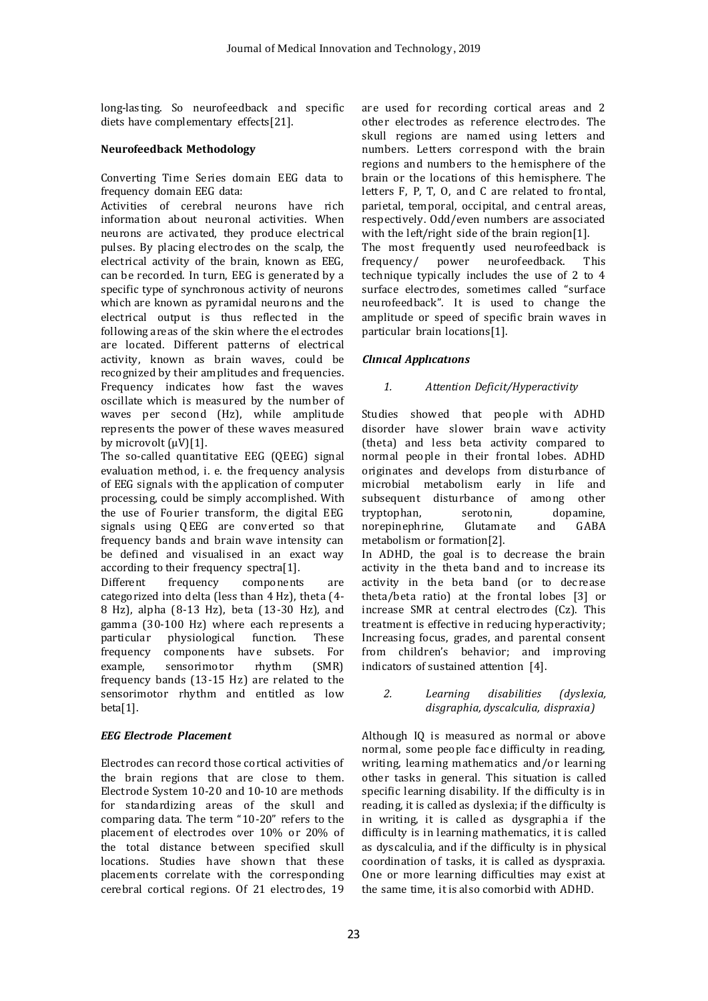long-lasting. So neurofeedback and specific diets have complementary effects[21].

# **Neurofeedback Methodology**

Converting Time Series domain EEG data to frequency domain EEG data:

Activities of cerebral neurons have rich information about neuronal activities. When neurons are activated, they produce electrical pulses. By placing electrodes on the scalp, the electrical activity of the brain, known as EEG, can be recorded. In turn, EEG is generated by a specific type of synchronous activity of neurons which are known as pyramidal neurons and the electrical output is thus reflected in the following areas of the skin where the el ectrodes are located. Different patterns of electrical activity, known as brain waves, could be recognized by their amplitudes and frequencies. Frequency indicates how fast the waves oscillate which is measured by the number of waves per second (Hz), while amplitude represents the power of these waves measured by microvolt  $(uV)[1]$ .

The so-called quantitative EEG (QEEG) signal evaluation method, i. e. the frequency analysis of EEG signals with the application of computer processing, could be simply accomplished. With the use of Fourier transform, the digital EEG signals using Q EEG are conv erted so that frequency bands and brain wave intensity can be defined and visualised in an exact way according to their frequency spectra[1].

Different frequency components are categorized into delta (less than 4 Hz), theta (4- 8 Hz), alpha (8-13 Hz), beta (13-30 Hz), and gamma (30-100 Hz) where each represents a particular physiological function. These frequency components have subsets. For example, sensorimotor rhythm (SMR) frequency bands (13-15 Hz) are related to the sensorimotor rhythm and entitled as low beta[1].

# *EEG Electrode Placement*

Electrodes can record those cortical activities of the brain regions that are close to them. Electrode System 10-20 and 10-10 are methods for standardizing areas of the skull and comparing data. The term "10-20" refers to the placement of electrodes over 10% or 20% of the total distance between specified skull locations. Studies have shown that these placements correlate with the corresponding cerebral cortical regions. Of 21 electrodes, 19

are used for recording cortical areas and 2 other electrodes as reference electrodes. The skull regions are named using letters and numbers. Letters correspond with the brain regions and numbers to the hemisphere of the brain or the locations of this hemisphere. The letters F, P, T, O, and C are related to frontal, parietal, temporal, occipital, and central areas, respectively. Odd/even numbers are associated with the left/right side of the brain region[1]. The most frequently used neurofeedback is frequency/ power neurofeedback. This technique typically includes the use of 2 to 4 surface electrodes, sometimes called "surface neurofeedback". It is used to change the amplitude or speed of specific brain waves in particular brain locations[1].

# *Clınıcal Applıcatıons*

## *1. Attention Deficit/Hyperactivity*

Studies showed that people with ADHD disorder have slower brain wave activity (theta) and less beta activity compared to normal people in their frontal lobes. ADHD originates and develops from disturbance of microbial metabolism early in life and subsequent disturbance of among other tryptophan, serotonin, dopamine, norepinephrine, Glutamate and GABA metabolism or formation[2]. In ADHD, the goal is to decrease the brain activity in the theta band and to increase its activity in the beta band (or to decrease theta/beta ratio) at the frontal lobes [3] or increase SMR at central electrodes (Cz). This treatment is effective in reducing hyperactivity; Increasing focus, grades, and parental consent

## *2. Learning disabilities (dyslexia, disgraphia, dyscalculia, dispraxia)*

from children's behavior; and improving

indicators of sustained attention [4].

Although IQ is measured as normal or above normal, some people face difficulty in reading, writing, learning mathematics and/or learning other tasks in general. This situation is called specific learning disability. If the difficulty is in reading, it is called as dyslexia; if the difficulty is in writing, it is called as dysgraphia if the difficulty is in learning mathematics, it is called as dyscalculia, and if the difficulty is in physical coordination of tasks, it is called as dyspraxia. One or more learning difficulties may exist at the same time, it is also comorbid with ADHD.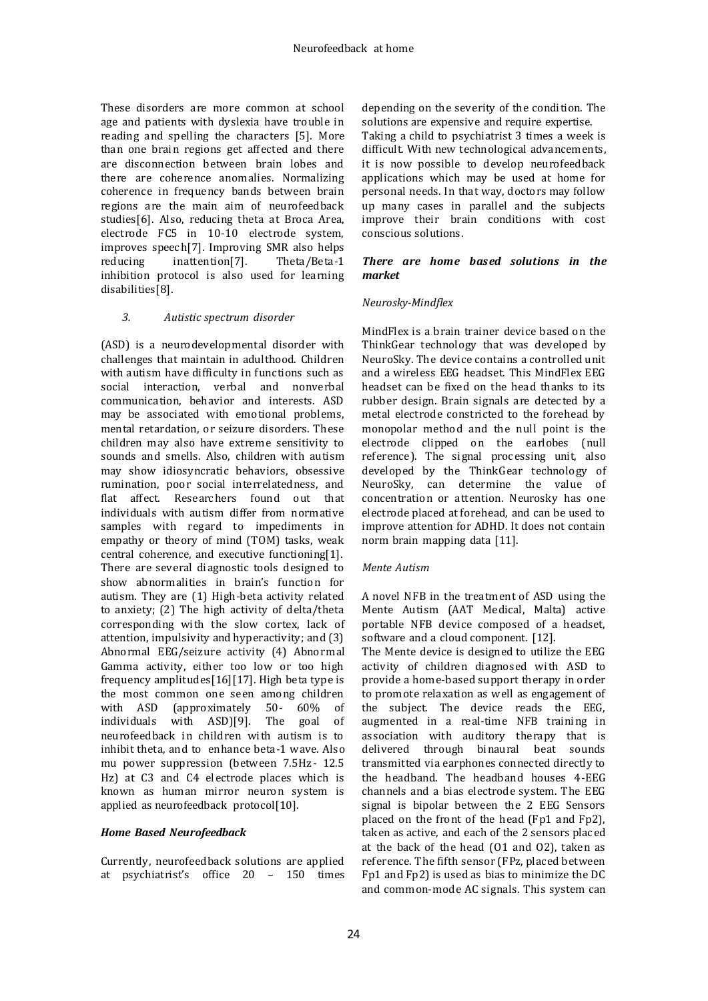These disorders are more common at school age and patients with dyslexia have trouble in reading and spelling the characters [5]. More than one brain regions get affected and there are disconnection between brain lobes and there are coherence anomalies. Normalizing coherence in frequency bands between brain regions are the main aim of neurofeedback studies[6]. Also, reducing theta at Broca Area, electrode FC5 in 10-10 electrode system, improves speech[7]. Improving SMR also helps reducing inattention[7]. Theta/Beta-1 inhibition protocol is also used for learning disabilities[8].

## *3. Autistic spectrum disorder*

(ASD) is a neurodevelopmental disorder with challenges that maintain in adul thood. Children with autism have difficulty in functions such as social interaction, verbal and nonverbal communication, behavior and interests. ASD may be associated with emotional problems, mental retardation, or seizure disorders. These children may also have extreme sensitivity to sounds and smells. Also, children with autism may show idiosyncratic behaviors, obsessive rumination, poor social interrelatedness, and flat affect. Researchers found out that individuals with autism differ from normative samples with regard to impediments in empathy or theory of mind (TOM) tasks, weak central coherence, and executive functioning[1]. There are several diagnostic tools designed to show abnormalities in brain's function for autism. They are (1) High-beta activity related to anxiety; (2) The high activity of delta/theta corresponding with the slow cortex, lack of attention, impulsivity and hyperactivity; and (3) Abnormal EEG/seizure activity (4) Abnormal Gamma activity, either too low or too high frequency amplitudes[16][17]. High beta type is the most common one seen among children with ASD (approximately 50- 60% of individuals with ASD)[9]. The goal of neurofeedback in children with autism is to inhibit theta, and to enhance beta-1 wave. Also mu power suppression (between 7.5Hz - 12.5) Hz) at C3 and C4 el ectrode places which is known as human mirror neuron system is applied as neurofeedback protocol[10].

## *Home Based Neurofeedback*

Currently, neurofeedback solutions are applied at psychiatrist's office 20 – 150 times

depending on the severity of the condition. The solutions are expensive and require expertise. Taking a child to psychiatrist 3 times a week is difficult. With new technological advancements, it is now possible to develop neurofeedback applications which may be used at home for personal needs. In that way, doctors may follow up many cases in parallel and the subjects improve their brain conditions with cost conscious solutions.

## *There are home based solutions in the market*

## *Neurosky-Mindflex*

MindFlex is a brain trainer device based on the ThinkGear technology that was dev eloped by NeuroSky. The device contains a controlled unit and a wirel ess EEG headset. This MindFlex EEG headset can be fixed on the head thanks to its rubber design. Brain signals are detected by a metal electrode constricted to the forehead by monopolar method and the null point is the electrode clipped on the earlobes (null reference). The signal processing unit, also developed by the ThinkGear technology of NeuroSky, can determine the value of concentration or attention. Neurosky has one electrode placed at forehead, and can be used to improve attention for ADHD. It does not contain norm brain mapping data [11].

#### *Mente Autism*

A novel NFB in the treatment of ASD using the Mente Autism (AAT Medical, Malta) active portable NFB device composed of a headset, software and a cloud component. [12].

The Mente device is designed to utilize the EEG activity of children diagnosed with ASD to provide a home-based support therapy in order to promote relaxation as well as engagement of the subject. The device reads the EEG, augmented in a real-time NFB training in association with auditory therapy that is delivered through binaural beat sounds transmitted via earphones connected directly to the headband. The headband houses 4-EEG channels and a bias electrode system. The EEG signal is bipolar between the 2 EEG Sensors placed on the front of the head (Fp1 and Fp2), taken as active, and each of the 2 sensors placed at the back of the head (O1 and O2), taken as reference. The fifth sensor (FPz, placed between Fp1 and Fp2) is used as bias to minimize the DC and common-mode AC signals. This system can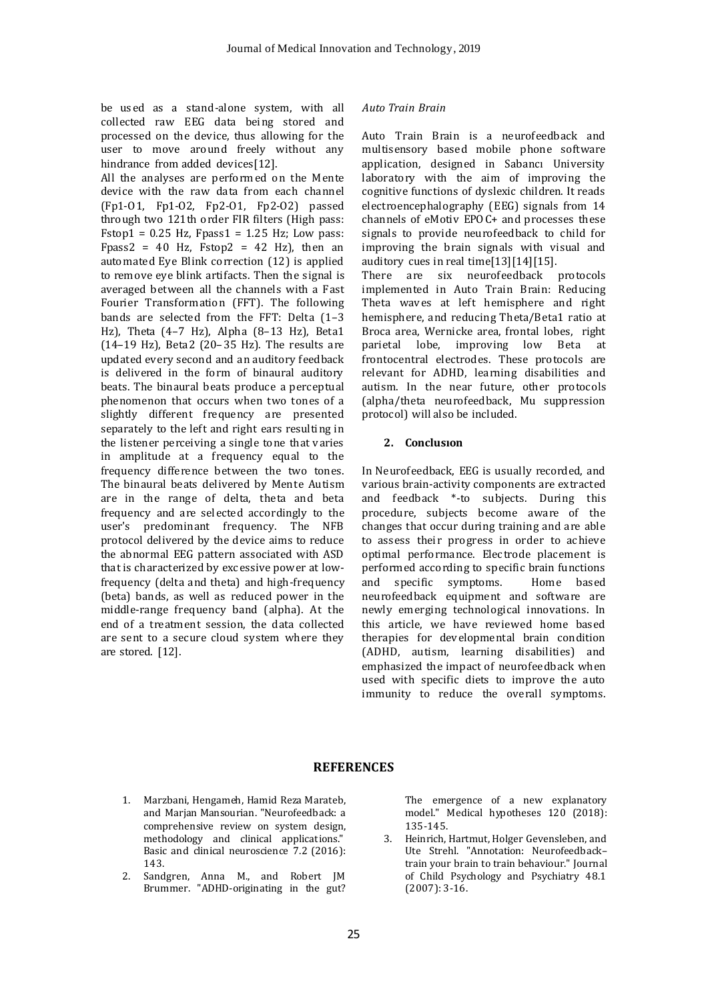be used as a stand-alone system, with all collected raw EEG data being stored and processed on the device, thus allowing for the user to move around freely without any hindrance from added devices[12].

All the analyses are performed on the Mente device with the raw data from each channel (Fp1-O 1, Fp1-O2, Fp2-O1, Fp2-O2) passed through two 121th order FIR filters (High pass: Fstop1 =  $0.25$  Hz, Fpass1 =  $1.25$  Hz; Low pass: Fpass2 = 40 Hz, Fstop2 = 42 Hz), then an automated Ey e Blink correction (12) is applied to remove eye blink artifacts. Then the signal is averaged between all the channels with a Fast Fourier Transformation (FFT). The following bands are selected from the FFT: Delta (1–3 Hz), Theta (4–7 Hz), Alpha (8–13 Hz), Beta1 (14–19 Hz), Beta2 (20–35 Hz). The results are updated every second and an auditory feedback is delivered in the form of binaural auditory beats. The binaural beats produce a perceptual phenomenon that occurs when two tones of a slightly different frequency are presented separately to the left and right ears resulting in the listener perceiving a single tone that varies in amplitude at a frequency equal to the frequency difference between the two tones. The binaural beats delivered by Mente Autism are in the range of delta, theta and beta frequency and are sel ected accordingly to the user's predominant frequency. The NFB protocol delivered by the device aims to reduce the abnormal EEG pattern associated with ASD that is characterized by excessive power at lowfrequency (delta and theta) and high-frequency (beta) bands, as well as reduced power in the middle-range frequency band (alpha). At the end of a treatment session, the data collected are sent to a secure cloud system where they are stored. [12].

## *Auto Train Brain*

Auto Train Brain is a neurofeedback and multisensory based mobile phone software application, designed in Sabancı University laboratory with the aim of improving the cognitive functions of dyslexic children. It reads electroencephalography (EEG) signals from 14 channels of eMotiv EPO C+ and processes these signals to provide neurofeedback to child for improving the brain signals with visual and auditory cues in real time[13][14][15].

There are six neurofeedback protocols implemented in Auto Train Brain: Reducing Theta wav es at left hemisphere and right hemisphere, and reducing Theta/Beta1 ratio at Broca area, Wernicke area, frontal lobes, right parietal lobe, improving low Beta at frontocentral electrodes. These protocols are relevant for ADHD, learning disabilities and autism. In the near future, other protocols (alpha/theta neurofeedback, Mu suppression protocol) will also be included.

## **2. Conclusıon**

In Neurofeedback, EEG is usually recorded, and various brain-activity components are extracted and feedback \*-to subjects. During this procedure, subjects become aware of the changes that occur during training and are able to assess their progress in order to achieve optimal performance. Electrode placement is performed according to specific brain functions and specific symptoms. Home based neurofeedback equipment and software are newly emerging technological innovations. In this article, we have reviewed home based therapies for dev elopmental brain condition (ADHD, autism, learning disabilities) and emphasized the impact of neurofeedback when used with specific diets to improve the auto immunity to reduce the overall symptoms.

# **REFERENCES**

- 1. Marzbani, Hengameh, Hamid Reza Marateb, and Marjan Mansourian. "Neurofeedback: a comprehensive review on system design, methodology and clinical applications." Basic and clinical neuroscience 7.2 (2016): 143.
- 2. Sandgren, Anna M., and Robert JM Brummer. "ADHD-originating in the gut?

The emergence of a new explanatory model." Medical hypotheses 120 (2018): 135-145.

3. Heinrich, Hartmut, Holger Gevensleben, and Ute Strehl. "Annotation: Neurofeedback– train your brain to train behaviour." Journal of Child Psychology and Psychiatry 48.1 (2007): 3-16.